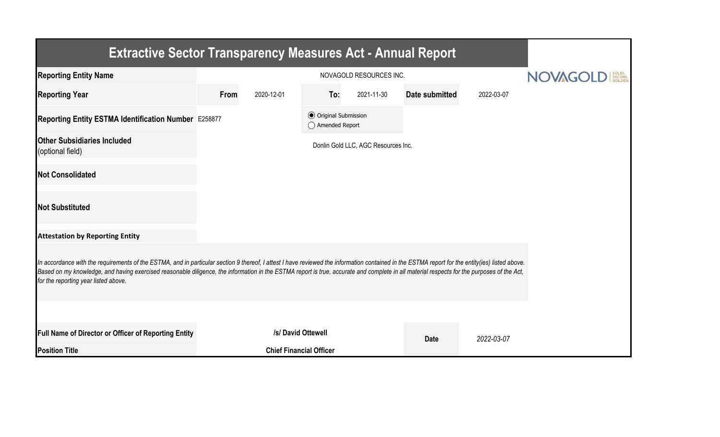| <b>Extractive Sector Transparency Measures Act - Annual Report</b>                                                                                                                                                                                                                                                                                                                                                                    |                                |                                    |                                                  |                                     |                |            |  |  |  |  |
|---------------------------------------------------------------------------------------------------------------------------------------------------------------------------------------------------------------------------------------------------------------------------------------------------------------------------------------------------------------------------------------------------------------------------------------|--------------------------------|------------------------------------|--------------------------------------------------|-------------------------------------|----------------|------------|--|--|--|--|
| <b>Reporting Entity Name</b>                                                                                                                                                                                                                                                                                                                                                                                                          |                                | <b>NOVAGO</b><br>SOLID.<br>SECURE. |                                                  |                                     |                |            |  |  |  |  |
| <b>Reporting Year</b>                                                                                                                                                                                                                                                                                                                                                                                                                 | From                           | 2020-12-01                         | To:                                              | 2021-11-30                          | Date submitted | 2022-03-07 |  |  |  |  |
| Reporting Entity ESTMA Identification Number E258877                                                                                                                                                                                                                                                                                                                                                                                  |                                |                                    | <b>◎</b> Original Submission<br>◯ Amended Report |                                     |                |            |  |  |  |  |
| <b>Other Subsidiaries Included</b><br>(optional field)                                                                                                                                                                                                                                                                                                                                                                                |                                |                                    |                                                  | Donlin Gold LLC, AGC Resources Inc. |                |            |  |  |  |  |
| <b>Not Consolidated</b>                                                                                                                                                                                                                                                                                                                                                                                                               |                                |                                    |                                                  |                                     |                |            |  |  |  |  |
| <b>Not Substituted</b>                                                                                                                                                                                                                                                                                                                                                                                                                |                                |                                    |                                                  |                                     |                |            |  |  |  |  |
| <b>Attestation by Reporting Entity</b>                                                                                                                                                                                                                                                                                                                                                                                                |                                |                                    |                                                  |                                     |                |            |  |  |  |  |
| In accordance with the requirements of the ESTMA, and in particular section 9 thereof, I attest I have reviewed the information contained in the ESTMA report for the entity(ies) listed above.<br>Based on my knowledge, and having exercised reasonable diligence, the information in the ESTMA report is true, accurate and complete in all material respects for the purposes of the Act,<br>for the reporting year listed above. |                                |                                    |                                                  |                                     |                |            |  |  |  |  |
|                                                                                                                                                                                                                                                                                                                                                                                                                                       |                                |                                    |                                                  |                                     |                |            |  |  |  |  |
| Full Name of Director or Officer of Reporting Entity                                                                                                                                                                                                                                                                                                                                                                                  |                                |                                    | /s/ David Ottewell                               |                                     | <b>Date</b>    | 2022-03-07 |  |  |  |  |
| <b>Position Title</b>                                                                                                                                                                                                                                                                                                                                                                                                                 | <b>Chief Financial Officer</b> |                                    |                                                  |                                     |                |            |  |  |  |  |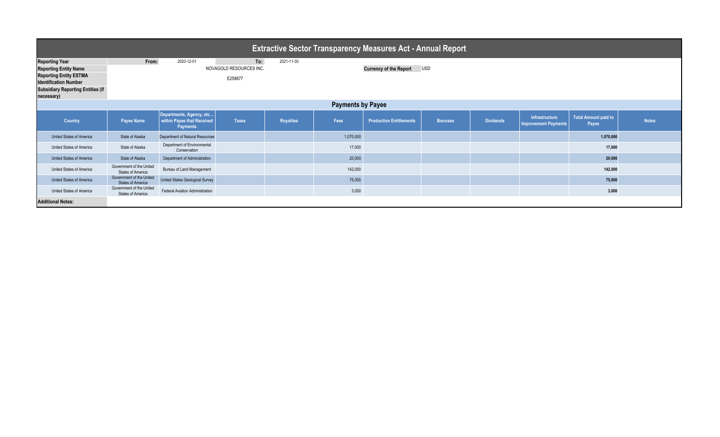| <b>Extractive Sector Transparency Measures Act - Annual Report</b>                                                                                                               |                                                      |                                                                    |                                           |                  |           |                                |                |                  |                                               |                                      |              |  |
|----------------------------------------------------------------------------------------------------------------------------------------------------------------------------------|------------------------------------------------------|--------------------------------------------------------------------|-------------------------------------------|------------------|-----------|--------------------------------|----------------|------------------|-----------------------------------------------|--------------------------------------|--------------|--|
| <b>Reporting Year</b><br><b>Reporting Entity Name</b><br><b>Reporting Entity ESTMA</b><br><b>Identification Number</b><br><b>Subsidiary Reporting Entities (if</b><br>necessary) | From:                                                | 2020-12-01                                                         | To:<br>NOVAGOLD RESOURCES INC.<br>E258877 | 2021-11-30       |           | <b>Currency of the Report</b>  | <b>USD</b>     |                  |                                               |                                      |              |  |
| <b>Payments by Payee</b>                                                                                                                                                         |                                                      |                                                                    |                                           |                  |           |                                |                |                  |                                               |                                      |              |  |
| <b>Country</b>                                                                                                                                                                   | Payee Name                                           | Departments, Agency, etc<br>within Payee that Received<br>Payments | <b>Taxes</b>                              | <b>Royalties</b> | Fees      | <b>Production Entitlements</b> | <b>Bonuses</b> | <b>Dividends</b> | Infrastructure<br><b>Improvement Payments</b> | <b>Total Amount paid to</b><br>Payee | <b>Notes</b> |  |
| United States of America                                                                                                                                                         | State of Alaska                                      | Department of Natural Resources                                    |                                           |                  | 1,070,000 |                                |                |                  |                                               | 1,070,000                            |              |  |
| United States of America                                                                                                                                                         | State of Alaska                                      | Department of Environmental<br>Conservation                        |                                           |                  | 17,000    |                                |                |                  |                                               | 17,000                               |              |  |
| <b>United States of America</b>                                                                                                                                                  | State of Alaska                                      | Department of Administration                                       |                                           |                  | 20,000    |                                |                |                  |                                               | 20,000                               |              |  |
| United States of America                                                                                                                                                         | Government of the United<br><b>States of America</b> | Bureau of Land Management                                          |                                           |                  | 142,000   |                                |                |                  |                                               | 142,000                              |              |  |
| United States of America                                                                                                                                                         | Government of the United<br><b>States of America</b> | United States Geological Survey                                    |                                           |                  | 75,000    |                                |                |                  |                                               | 75,000                               |              |  |
| United States of America                                                                                                                                                         | Government of the United<br><b>States of America</b> | Federal Aviation Administration                                    |                                           |                  | 3,000     |                                |                |                  |                                               | 3,000                                |              |  |
| <b>Additional Notes:</b>                                                                                                                                                         |                                                      |                                                                    |                                           |                  |           |                                |                |                  |                                               |                                      |              |  |